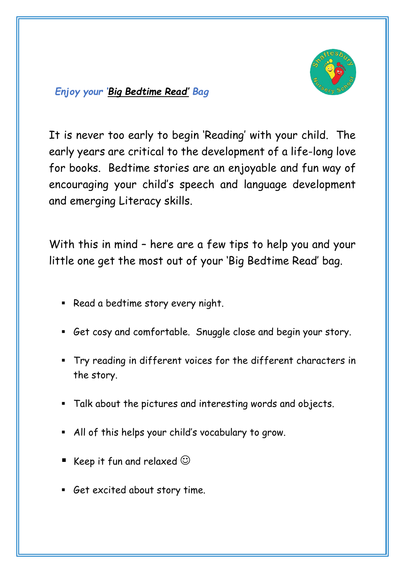

## *Enjoy your 'Big Bedtime Read' Bag*

It is never too early to begin 'Reading' with your child. The early years are critical to the development of a life-long love for books. Bedtime stories are an enjoyable and fun way of encouraging your child's speech and language development and emerging Literacy skills.

With this in mind – here are a few tips to help you and your little one get the most out of your 'Big Bedtime Read' bag.

- Read a bedtime story every night.
- Get cosy and comfortable. Snuggle close and begin your story.
- Try reading in different voices for the different characters in the story.
- Talk about the pictures and interesting words and objects.
- All of this helps your child's vocabulary to grow.
- Keep it fun and relaxed  $\odot$
- Get excited about story time.